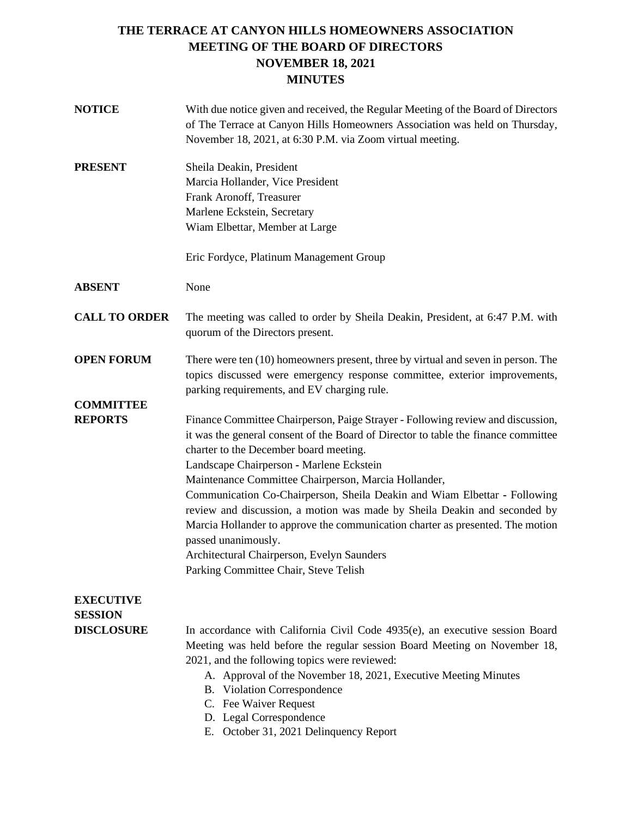# **THE TERRACE AT CANYON HILLS HOMEOWNERS ASSOCIATION MEETING OF THE BOARD OF DIRECTORS NOVEMBER 18, 2021 MINUTES**

| <b>NOTICE</b>                                           | With due notice given and received, the Regular Meeting of the Board of Directors<br>of The Terrace at Canyon Hills Homeowners Association was held on Thursday,<br>November 18, 2021, at 6:30 P.M. via Zoom virtual meeting.                                                                                                                                                                                                                                                                                                                                                                                                                                                 |  |  |
|---------------------------------------------------------|-------------------------------------------------------------------------------------------------------------------------------------------------------------------------------------------------------------------------------------------------------------------------------------------------------------------------------------------------------------------------------------------------------------------------------------------------------------------------------------------------------------------------------------------------------------------------------------------------------------------------------------------------------------------------------|--|--|
| <b>PRESENT</b>                                          | Sheila Deakin, President<br>Marcia Hollander, Vice President<br>Frank Aronoff, Treasurer<br>Marlene Eckstein, Secretary<br>Wiam Elbettar, Member at Large<br>Eric Fordyce, Platinum Management Group                                                                                                                                                                                                                                                                                                                                                                                                                                                                          |  |  |
| <b>ABSENT</b>                                           | None                                                                                                                                                                                                                                                                                                                                                                                                                                                                                                                                                                                                                                                                          |  |  |
| <b>CALL TO ORDER</b>                                    | The meeting was called to order by Sheila Deakin, President, at 6:47 P.M. with<br>quorum of the Directors present.                                                                                                                                                                                                                                                                                                                                                                                                                                                                                                                                                            |  |  |
| <b>OPEN FORUM</b>                                       | There were ten (10) homeowners present, three by virtual and seven in person. The<br>topics discussed were emergency response committee, exterior improvements,<br>parking requirements, and EV charging rule.                                                                                                                                                                                                                                                                                                                                                                                                                                                                |  |  |
| <b>COMMITTEE</b><br><b>REPORTS</b>                      | Finance Committee Chairperson, Paige Strayer - Following review and discussion,<br>it was the general consent of the Board of Director to table the finance committee<br>charter to the December board meeting.<br>Landscape Chairperson - Marlene Eckstein<br>Maintenance Committee Chairperson, Marcia Hollander,<br>Communication Co-Chairperson, Sheila Deakin and Wiam Elbettar - Following<br>review and discussion, a motion was made by Sheila Deakin and seconded by<br>Marcia Hollander to approve the communication charter as presented. The motion<br>passed unanimously.<br>Architectural Chairperson, Evelyn Saunders<br>Parking Committee Chair, Steve Telish |  |  |
| <b>EXECUTIVE</b><br><b>SESSION</b><br><b>DISCLOSURE</b> | In accordance with California Civil Code $4935(e)$ , an executive session Board<br>Meeting was held before the regular session Board Meeting on November 18,<br>2021, and the following topics were reviewed:<br>A. Approval of the November 18, 2021, Executive Meeting Minutes<br>B. Violation Correspondence<br>C. Fee Waiver Request<br>D. Legal Correspondence<br>E. October 31, 2021 Delinquency Report                                                                                                                                                                                                                                                                 |  |  |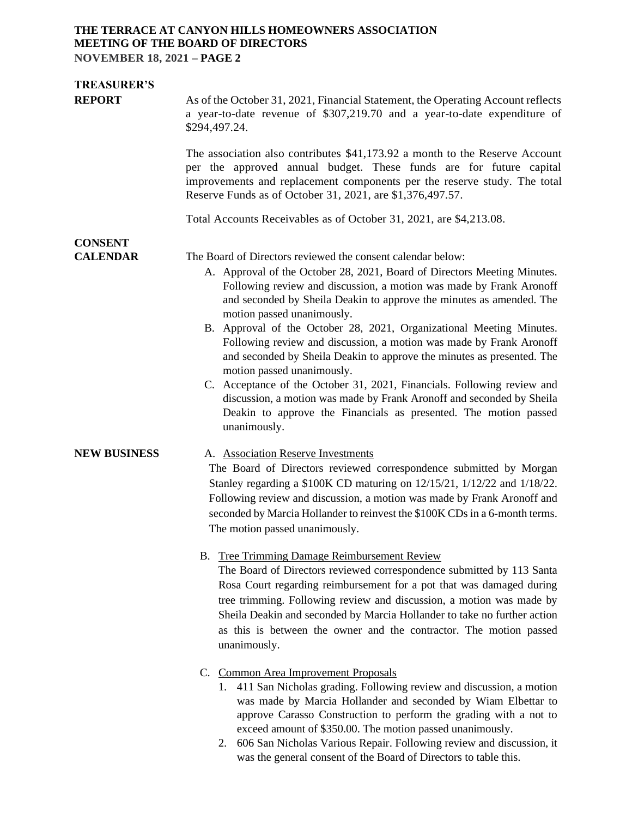### **THE TERRACE AT CANYON HILLS HOMEOWNERS ASSOCIATION MEETING OF THE BOARD OF DIRECTORS NOVEMBER 18, 2021 – PAGE 2**

| <b>TREASURER'S</b>                |                                                                                                                                                                                                                                                                                                                                                                                                                                                                                                                                                                                                                                                                                                                                                                                                                             |  |  |  |
|-----------------------------------|-----------------------------------------------------------------------------------------------------------------------------------------------------------------------------------------------------------------------------------------------------------------------------------------------------------------------------------------------------------------------------------------------------------------------------------------------------------------------------------------------------------------------------------------------------------------------------------------------------------------------------------------------------------------------------------------------------------------------------------------------------------------------------------------------------------------------------|--|--|--|
| <b>REPORT</b>                     | As of the October 31, 2021, Financial Statement, the Operating Account reflects<br>a year-to-date revenue of \$307,219.70 and a year-to-date expenditure of<br>\$294,497.24.                                                                                                                                                                                                                                                                                                                                                                                                                                                                                                                                                                                                                                                |  |  |  |
|                                   | The association also contributes \$41,173.92 a month to the Reserve Account<br>per the approved annual budget. These funds are for future capital<br>improvements and replacement components per the reserve study. The total<br>Reserve Funds as of October 31, 2021, are \$1,376,497.57.<br>Total Accounts Receivables as of October 31, 2021, are \$4,213.08.                                                                                                                                                                                                                                                                                                                                                                                                                                                            |  |  |  |
|                                   |                                                                                                                                                                                                                                                                                                                                                                                                                                                                                                                                                                                                                                                                                                                                                                                                                             |  |  |  |
| <b>CONSENT</b><br><b>CALENDAR</b> | The Board of Directors reviewed the consent calendar below:<br>A. Approval of the October 28, 2021, Board of Directors Meeting Minutes.<br>Following review and discussion, a motion was made by Frank Aronoff<br>and seconded by Sheila Deakin to approve the minutes as amended. The<br>motion passed unanimously.<br>B. Approval of the October 28, 2021, Organizational Meeting Minutes.<br>Following review and discussion, a motion was made by Frank Aronoff<br>and seconded by Sheila Deakin to approve the minutes as presented. The<br>motion passed unanimously.<br>C. Acceptance of the October 31, 2021, Financials. Following review and<br>discussion, a motion was made by Frank Aronoff and seconded by Sheila<br>Deakin to approve the Financials as presented. The motion passed<br>unanimously.         |  |  |  |
| <b>NEW BUSINESS</b>               | A. Association Reserve Investments<br>The Board of Directors reviewed correspondence submitted by Morgan<br>Stanley regarding a \$100K CD maturing on 12/15/21, 1/12/22 and 1/18/22.<br>Following review and discussion, a motion was made by Frank Aronoff and<br>seconded by Marcia Hollander to reinvest the \$100K CDs in a 6-month terms.<br>The motion passed unanimously.<br>B. Tree Trimming Damage Reimbursement Review<br>The Board of Directors reviewed correspondence submitted by 113 Santa<br>Rosa Court regarding reimbursement for a pot that was damaged during<br>tree trimming. Following review and discussion, a motion was made by<br>Sheila Deakin and seconded by Marcia Hollander to take no further action<br>as this is between the owner and the contractor. The motion passed<br>unanimously. |  |  |  |
|                                   | C. Common Area Improvement Proposals                                                                                                                                                                                                                                                                                                                                                                                                                                                                                                                                                                                                                                                                                                                                                                                        |  |  |  |

- 1. 411 San Nicholas grading. Following review and discussion, a motion was made by Marcia Hollander and seconded by Wiam Elbettar to approve Carasso Construction to perform the grading with a not to exceed amount of \$350.00. The motion passed unanimously.
- 2. 606 San Nicholas Various Repair. Following review and discussion, it was the general consent of the Board of Directors to table this.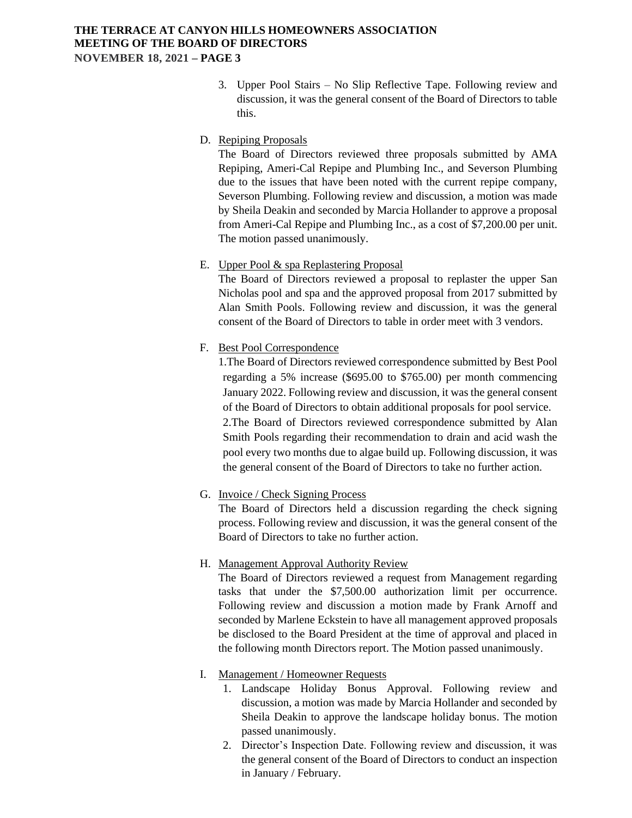#### **THE TERRACE AT CANYON HILLS HOMEOWNERS ASSOCIATION MEETING OF THE BOARD OF DIRECTORS NOVEMBER 18, 2021 – PAGE 3**

- 3. Upper Pool Stairs No Slip Reflective Tape. Following review and discussion, it was the general consent of the Board of Directors to table this.
- D. Repiping Proposals

The Board of Directors reviewed three proposals submitted by AMA Repiping, Ameri-Cal Repipe and Plumbing Inc., and Severson Plumbing due to the issues that have been noted with the current repipe company, Severson Plumbing. Following review and discussion, a motion was made by Sheila Deakin and seconded by Marcia Hollander to approve a proposal from Ameri-Cal Repipe and Plumbing Inc., as a cost of \$7,200.00 per unit. The motion passed unanimously.

E. Upper Pool & spa Replastering Proposal

The Board of Directors reviewed a proposal to replaster the upper San Nicholas pool and spa and the approved proposal from 2017 submitted by Alan Smith Pools. Following review and discussion, it was the general consent of the Board of Directors to table in order meet with 3 vendors.

F. Best Pool Correspondence

1.The Board of Directors reviewed correspondence submitted by Best Pool regarding a 5% increase (\$695.00 to \$765.00) per month commencing January 2022. Following review and discussion, it was the general consent of the Board of Directors to obtain additional proposals for pool service. 2.The Board of Directors reviewed correspondence submitted by Alan Smith Pools regarding their recommendation to drain and acid wash the pool every two months due to algae build up. Following discussion, it was the general consent of the Board of Directors to take no further action.

G. Invoice / Check Signing Process

The Board of Directors held a discussion regarding the check signing process. Following review and discussion, it was the general consent of the Board of Directors to take no further action.

H. Management Approval Authority Review

The Board of Directors reviewed a request from Management regarding tasks that under the \$7,500.00 authorization limit per occurrence. Following review and discussion a motion made by Frank Arnoff and seconded by Marlene Eckstein to have all management approved proposals be disclosed to the Board President at the time of approval and placed in the following month Directors report. The Motion passed unanimously.

- I. Management / Homeowner Requests
	- 1. Landscape Holiday Bonus Approval. Following review and discussion, a motion was made by Marcia Hollander and seconded by Sheila Deakin to approve the landscape holiday bonus. The motion passed unanimously.
	- 2. Director's Inspection Date. Following review and discussion, it was the general consent of the Board of Directors to conduct an inspection in January / February.